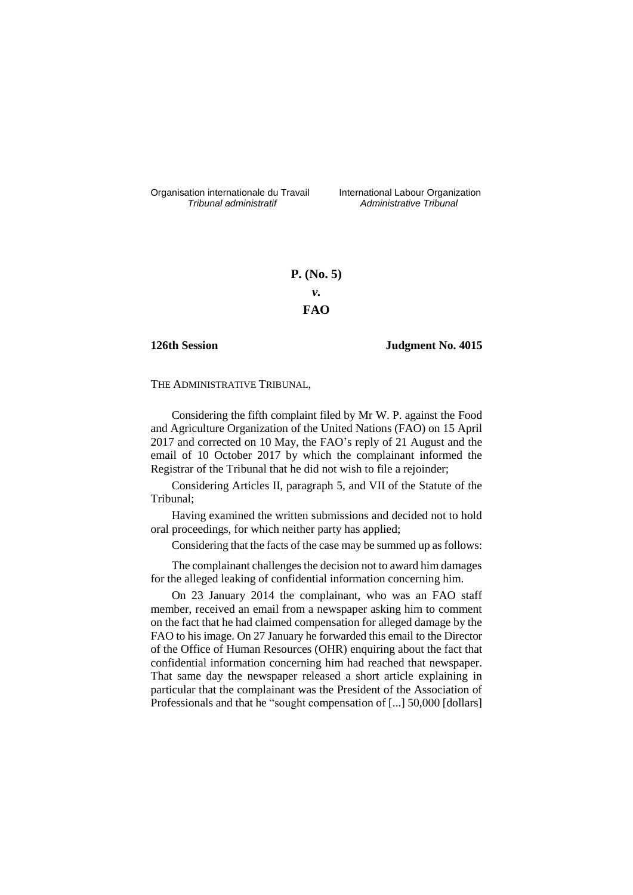Organisation internationale du Travail liternational Labour Organization<br> *Tribunal administratif Administrative Tribunal* 

*Tribunal administratif Administrative Tribunal*

# **P. (No. 5)** *v.* **FAO**

## **126th Session Judgment No. 4015**

THE ADMINISTRATIVE TRIBUNAL,

Considering the fifth complaint filed by Mr W. P. against the Food and Agriculture Organization of the United Nations (FAO) on 15 April 2017 and corrected on 10 May, the FAO's reply of 21 August and the email of 10 October 2017 by which the complainant informed the Registrar of the Tribunal that he did not wish to file a rejoinder;

Considering Articles II, paragraph 5, and VII of the Statute of the Tribunal;

Having examined the written submissions and decided not to hold oral proceedings, for which neither party has applied;

Considering that the facts of the case may be summed up as follows:

The complainant challenges the decision not to award him damages for the alleged leaking of confidential information concerning him.

On 23 January 2014 the complainant, who was an FAO staff member, received an email from a newspaper asking him to comment on the fact that he had claimed compensation for alleged damage by the FAO to his image. On 27 January he forwarded this email to the Director of the Office of Human Resources (OHR) enquiring about the fact that confidential information concerning him had reached that newspaper. That same day the newspaper released a short article explaining in particular that the complainant was the President of the Association of Professionals and that he "sought compensation of [...] 50,000 [dollars]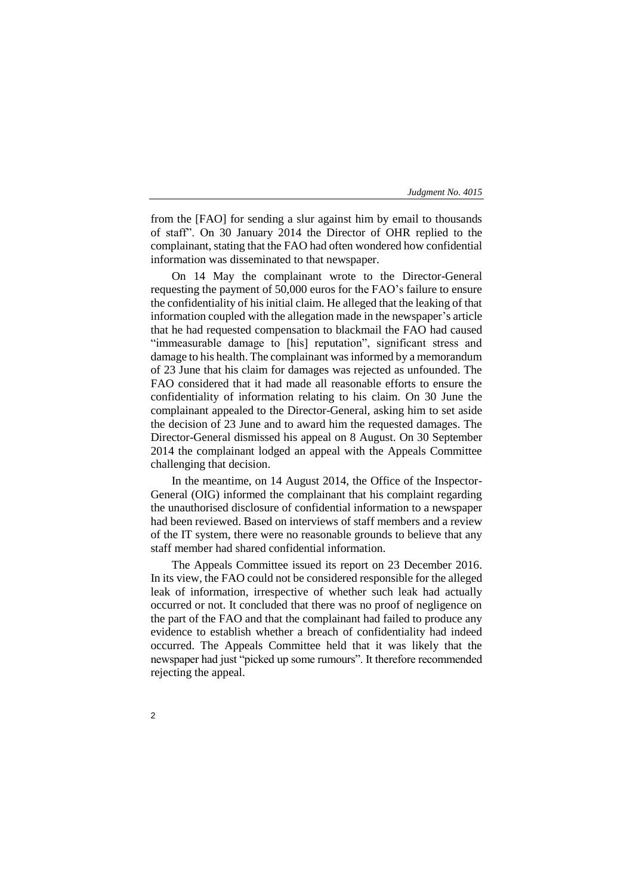from the [FAO] for sending a slur against him by email to thousands of staff". On 30 January 2014 the Director of OHR replied to the complainant, stating that the FAO had often wondered how confidential information was disseminated to that newspaper.

On 14 May the complainant wrote to the Director-General requesting the payment of 50,000 euros for the FAO's failure to ensure the confidentiality of his initial claim. He alleged that the leaking of that information coupled with the allegation made in the newspaper's article that he had requested compensation to blackmail the FAO had caused "immeasurable damage to [his] reputation", significant stress and damage to his health. The complainant was informed by a memorandum of 23 June that his claim for damages was rejected as unfounded. The FAO considered that it had made all reasonable efforts to ensure the confidentiality of information relating to his claim. On 30 June the complainant appealed to the Director-General, asking him to set aside the decision of 23 June and to award him the requested damages. The Director-General dismissed his appeal on 8 August. On 30 September 2014 the complainant lodged an appeal with the Appeals Committee challenging that decision.

In the meantime, on 14 August 2014, the Office of the Inspector-General (OIG) informed the complainant that his complaint regarding the unauthorised disclosure of confidential information to a newspaper had been reviewed. Based on interviews of staff members and a review of the IT system, there were no reasonable grounds to believe that any staff member had shared confidential information.

The Appeals Committee issued its report on 23 December 2016. In its view, the FAO could not be considered responsible for the alleged leak of information, irrespective of whether such leak had actually occurred or not. It concluded that there was no proof of negligence on the part of the FAO and that the complainant had failed to produce any evidence to establish whether a breach of confidentiality had indeed occurred. The Appeals Committee held that it was likely that the newspaper had just "picked up some rumours". It therefore recommended rejecting the appeal.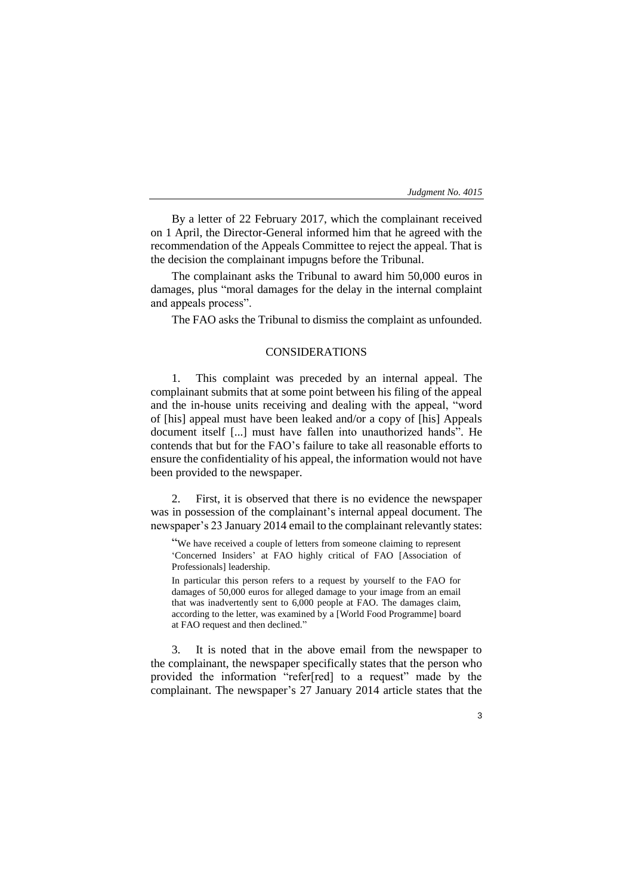By a letter of 22 February 2017, which the complainant received on 1 April, the Director-General informed him that he agreed with the recommendation of the Appeals Committee to reject the appeal. That is the decision the complainant impugns before the Tribunal.

The complainant asks the Tribunal to award him 50,000 euros in damages, plus "moral damages for the delay in the internal complaint and appeals process".

The FAO asks the Tribunal to dismiss the complaint as unfounded.

# CONSIDERATIONS

1. This complaint was preceded by an internal appeal. The complainant submits that at some point between his filing of the appeal and the in-house units receiving and dealing with the appeal, "word of [his] appeal must have been leaked and/or a copy of [his] Appeals document itself [...] must have fallen into unauthorized hands". He contends that but for the FAO's failure to take all reasonable efforts to ensure the confidentiality of his appeal, the information would not have been provided to the newspaper.

2. First, it is observed that there is no evidence the newspaper was in possession of the complainant's internal appeal document. The newspaper's 23 January 2014 email to the complainant relevantly states:

"We have received a couple of letters from someone claiming to represent 'Concerned Insiders' at FAO highly critical of FAO [Association of Professionals] leadership.

In particular this person refers to a request by yourself to the FAO for damages of 50,000 euros for alleged damage to your image from an email that was inadvertently sent to 6,000 people at FAO. The damages claim, according to the letter, was examined by a [World Food Programme] board at FAO request and then declined."

3. It is noted that in the above email from the newspaper to the complainant, the newspaper specifically states that the person who provided the information "refer[red] to a request" made by the complainant. The newspaper's 27 January 2014 article states that the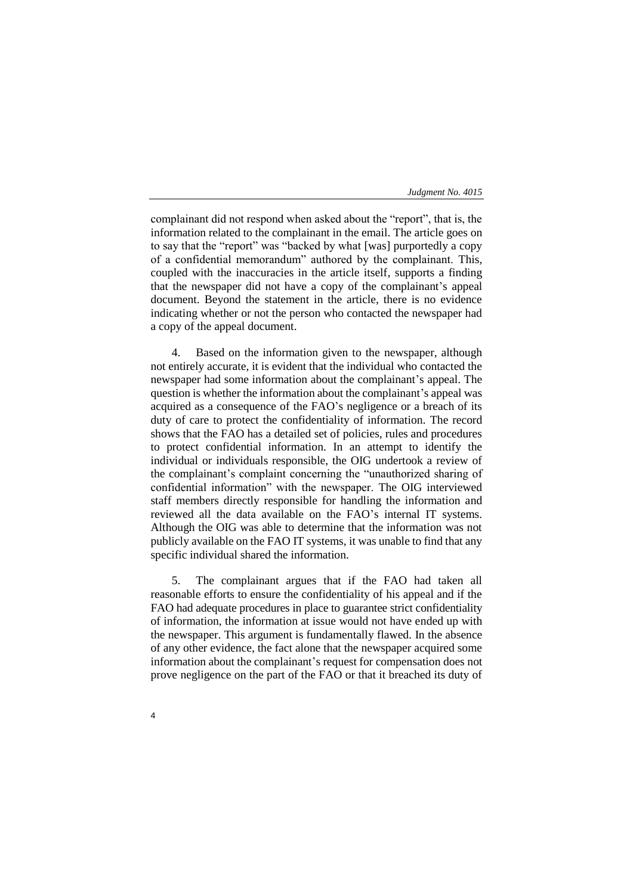complainant did not respond when asked about the "report", that is, the information related to the complainant in the email. The article goes on to say that the "report" was "backed by what [was] purportedly a copy of a confidential memorandum" authored by the complainant. This, coupled with the inaccuracies in the article itself, supports a finding that the newspaper did not have a copy of the complainant's appeal document. Beyond the statement in the article, there is no evidence indicating whether or not the person who contacted the newspaper had a copy of the appeal document.

4. Based on the information given to the newspaper, although not entirely accurate, it is evident that the individual who contacted the newspaper had some information about the complainant's appeal. The question is whether the information about the complainant's appeal was acquired as a consequence of the FAO's negligence or a breach of its duty of care to protect the confidentiality of information. The record shows that the FAO has a detailed set of policies, rules and procedures to protect confidential information. In an attempt to identify the individual or individuals responsible, the OIG undertook a review of the complainant's complaint concerning the "unauthorized sharing of confidential information" with the newspaper. The OIG interviewed staff members directly responsible for handling the information and reviewed all the data available on the FAO's internal IT systems. Although the OIG was able to determine that the information was not publicly available on the FAO IT systems, it was unable to find that any specific individual shared the information.

5. The complainant argues that if the FAO had taken all reasonable efforts to ensure the confidentiality of his appeal and if the FAO had adequate procedures in place to guarantee strict confidentiality of information, the information at issue would not have ended up with the newspaper. This argument is fundamentally flawed. In the absence of any other evidence, the fact alone that the newspaper acquired some information about the complainant's request for compensation does not prove negligence on the part of the FAO or that it breached its duty of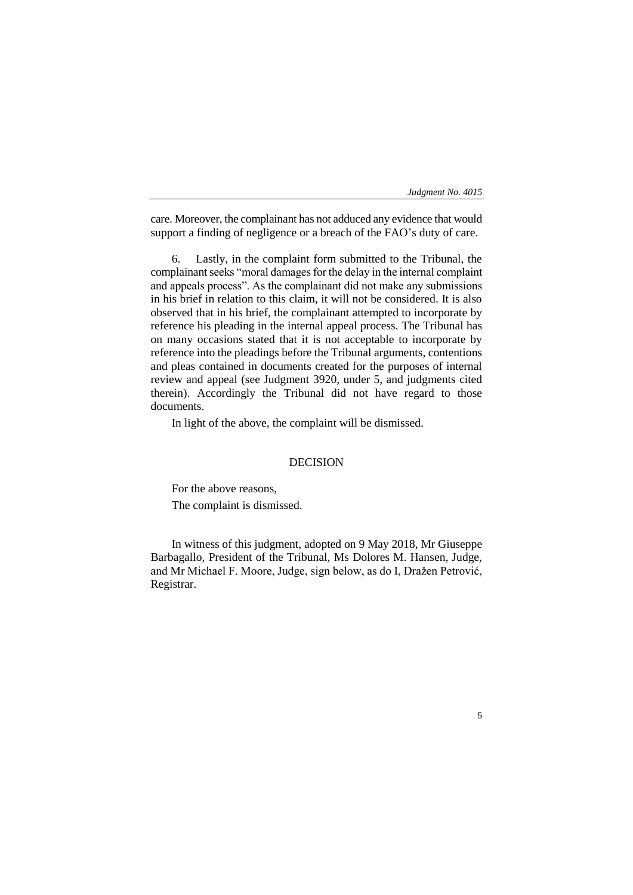care. Moreover, the complainant has not adduced any evidence that would support a finding of negligence or a breach of the FAO's duty of care.

6. Lastly, in the complaint form submitted to the Tribunal, the complainant seeks "moral damages for the delay in the internal complaint and appeals process". As the complainant did not make any submissions in his brief in relation to this claim, it will not be considered. It is also observed that in his brief, the complainant attempted to incorporate by reference his pleading in the internal appeal process. The Tribunal has on many occasions stated that it is not acceptable to incorporate by reference into the pleadings before the Tribunal arguments, contentions and pleas contained in documents created for the purposes of internal review and appeal (see Judgment 3920, under 5, and judgments cited therein). Accordingly the Tribunal did not have regard to those documents.

In light of the above, the complaint will be dismissed.

#### DECISION

For the above reasons, The complaint is dismissed.

In witness of this judgment, adopted on 9 May 2018, Mr Giuseppe Barbagallo, President of the Tribunal, Ms Dolores M. Hansen, Judge, and Mr Michael F. Moore, Judge, sign below, as do I, Dražen Petrović, Registrar.